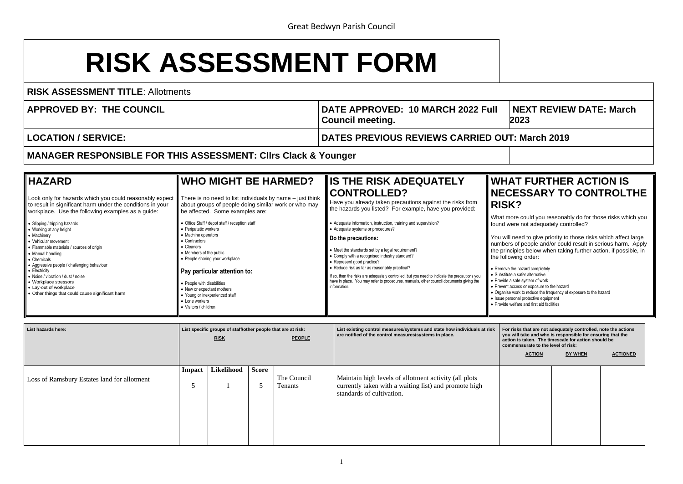# **RISK ASSESSMENT FORM**

**RISK ASSESSMENT TITLE**: Allotments

| <b>APPROVED BY: THE COUNCIL</b> | DATE APPROVED: 10 MARCH 2022 Full<br><b>Council meeting.</b> | <b>NEXT REVIEV</b><br>2023 |
|---------------------------------|--------------------------------------------------------------|----------------------------|
| LOCATION / SERVICE:             | DATES PREVIOUS REVIEWS CARRIED OUT: March 2019               |                            |

### **NEXT REVIEW DATE: March 202023**

## **WHAT FURTHER ACTION IS ISSARY TO CONTROLTHE**

could you reasonably do for those risks which you not adequately controlled?

ed to give priority to those risks which affect large f people and/or could result in serious harm. Apply les below when taking further action, if possible, in ነg order:

hazard completely

- safer alternative
- fe system of work
- ess or exposure to the hazard
- rk to reduce the frequency of exposure to the hazard
- al protective equipment
- are and first aid facilities

**MANAGER RESPONSIBLE FOR THIS ASSESSMENT: Cllrs Clack & Younger** 

| <b>HAZARD</b>                                                                                                                                                                                                                                                                                                                     | <b>WHO MIGHT BE HARMED?</b>                                                                                                                                                                                                                                                             | <b>IIS THE RISK ADEQUATELY</b>                                                                                                                                                                                                                                                                                                                                                                                  | <b>WHAT</b>                                                                                                                                                                                              |
|-----------------------------------------------------------------------------------------------------------------------------------------------------------------------------------------------------------------------------------------------------------------------------------------------------------------------------------|-----------------------------------------------------------------------------------------------------------------------------------------------------------------------------------------------------------------------------------------------------------------------------------------|-----------------------------------------------------------------------------------------------------------------------------------------------------------------------------------------------------------------------------------------------------------------------------------------------------------------------------------------------------------------------------------------------------------------|----------------------------------------------------------------------------------------------------------------------------------------------------------------------------------------------------------|
| Look only for hazards which you could reasonably expect                                                                                                                                                                                                                                                                           | There is no need to list individuals by name $-$ just think                                                                                                                                                                                                                             | <b>CONTROLLED?</b>                                                                                                                                                                                                                                                                                                                                                                                              | <b>NECE</b>                                                                                                                                                                                              |
| to result in significant harm under the conditions in your                                                                                                                                                                                                                                                                        | about groups of people doing similar work or who may                                                                                                                                                                                                                                    | Have you already taken precautions against the risks from                                                                                                                                                                                                                                                                                                                                                       | <b>RISK?</b>                                                                                                                                                                                             |
| workplace. Use the following examples as a guide:                                                                                                                                                                                                                                                                                 | be affected. Some examples are:                                                                                                                                                                                                                                                         | the hazards you listed? For example, have you provided:                                                                                                                                                                                                                                                                                                                                                         | What more                                                                                                                                                                                                |
| • Slipping / tripping hazards                                                                                                                                                                                                                                                                                                     | • Office Staff / depot staff / reception staff                                                                                                                                                                                                                                          | • Adequate information, instruction, training and supervision?                                                                                                                                                                                                                                                                                                                                                  | found were                                                                                                                                                                                               |
| • Working at any height                                                                                                                                                                                                                                                                                                           | • Peripatetic workers                                                                                                                                                                                                                                                                   | Adequate systems or procedures?                                                                                                                                                                                                                                                                                                                                                                                 |                                                                                                                                                                                                          |
| • Machinery<br>• Vehicular movement<br>• Flammable materials / sources of origin<br>• Manual handling<br>• Chemicals<br>• Aggressive people / challenging behaviour<br>• Electricity<br>• Noise / vibration / dust / noise<br>• Workplace stressors<br>• Lay-out of workplace<br>• Other things that could cause significant harm | • Machine operators<br>Contractors<br>• Cleaners<br>• Members of the public<br>• People sharing your workplace<br>Pay particular attention to:<br>• People with disabilities<br>• New or expectant mothers<br>• Young or inexperienced staff<br>• Lone workers<br>• Visitors / children | Do the precautions:<br>• Meet the standards set by a legal requirement?<br>Comply with a recognised industry standard?<br>Represent good practice?<br>• Reduce risk as far as reasonably practical?<br>If so, then the risks are adequately controlled, but you need to indicate the precautions you<br>have in place. You may refer to procedures, manuals, other council documents giving the<br>information. | You will nee<br>numbers of<br>the principle<br>the following<br>• Remove the ha<br>• Substitute a sa<br>• Provide a safe<br>• Prevent access<br>• Organise work<br>• Issue personal<br>• Provide welfare |

**For risks that are not adequately controlled, note the actions I take and who is responsible for ensuring that the action is taken. The timescale for action should be commensurate to the level of risk:**

| List hazards here:                          | List specific groups of staff/other people that are at risk:<br><b>RISK</b> |            |              | <b>PEOPLE</b>          | List existing control measures/systems and state how individuals at risk<br>are notified of the control measures/systems in place.           |  |  |
|---------------------------------------------|-----------------------------------------------------------------------------|------------|--------------|------------------------|----------------------------------------------------------------------------------------------------------------------------------------------|--|--|
| Loss of Ramsbury Estates land for allotment | Impact<br>5                                                                 | Likelihood | <b>Score</b> | The Council<br>Tenants | Maintain high levels of allotment activity (all plots)<br>currently taken with a waiting list) and promote high<br>standards of cultivation. |  |  |

| <b>ACTION</b> | <b>BY WHEN</b> | <b>ACTIONED</b> |
|---------------|----------------|-----------------|
|               |                |                 |
|               |                |                 |
|               |                |                 |
|               |                |                 |
|               |                |                 |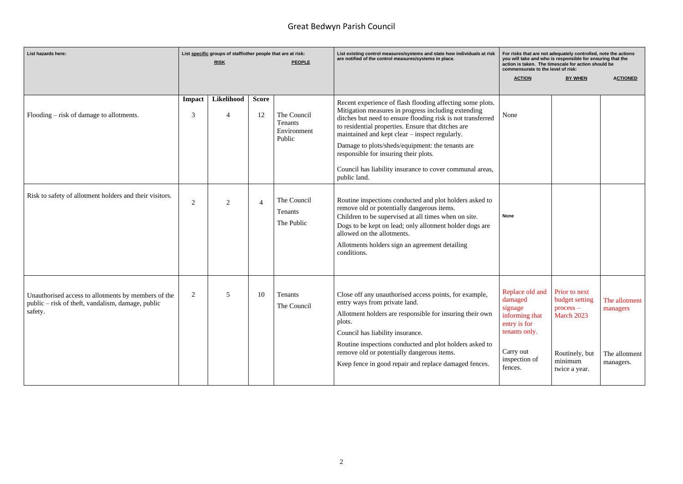## Great Bedwyn Parish Council

| List hazards here:                                                                                                  | List specific groups of staff/other people that are at risk:<br><b>RISK</b><br><b>PEOPLE</b> |                              |                    |                                                 | List existing control measures/systems and state how individuals at risk<br>are notified of the control measures/systems in place.                                                                                                                                                                                                                                                                                                                               | For risks that are not adequately controlled, note the actions<br>you will take and who is responsible for ensuring that the<br>action is taken. The timescale for action should be<br>commensurate to the level of risk: |                                                                                                            |                                                         |
|---------------------------------------------------------------------------------------------------------------------|----------------------------------------------------------------------------------------------|------------------------------|--------------------|-------------------------------------------------|------------------------------------------------------------------------------------------------------------------------------------------------------------------------------------------------------------------------------------------------------------------------------------------------------------------------------------------------------------------------------------------------------------------------------------------------------------------|---------------------------------------------------------------------------------------------------------------------------------------------------------------------------------------------------------------------------|------------------------------------------------------------------------------------------------------------|---------------------------------------------------------|
|                                                                                                                     |                                                                                              |                              |                    |                                                 |                                                                                                                                                                                                                                                                                                                                                                                                                                                                  | <b>ACTION</b>                                                                                                                                                                                                             | <b>BY WHEN</b>                                                                                             | <b>ACTIONED</b>                                         |
| Flooding – risk of damage to allotments.                                                                            | Impact<br>3                                                                                  | Likelihood<br>$\overline{4}$ | <b>Score</b><br>12 | The Council<br>Tenants<br>Environment<br>Public | Recent experience of flash flooding affecting some plots.<br>Mitigation measures in progress including extending<br>ditches but need to ensure flooding risk is not transferred<br>to residential properties. Ensure that ditches are<br>maintained and kept clear – inspect regularly.<br>Damage to plots/sheds/equipment: the tenants are<br>responsible for insuring their plots.<br>Council has liability insurance to cover communal areas,<br>public land. | None                                                                                                                                                                                                                      |                                                                                                            |                                                         |
| Risk to safety of allotment holders and their visitors.                                                             | 2                                                                                            | $\overline{2}$               | $\overline{4}$     | The Council<br>Tenants<br>The Public            | Routine inspections conducted and plot holders asked to<br>remove old or potentially dangerous items.<br>Children to be supervised at all times when on site.<br>Dogs to be kept on lead; only allotment holder dogs are<br>allowed on the allotments.<br>Allotments holders sign an agreement detailing<br>conditions.                                                                                                                                          | <b>None</b>                                                                                                                                                                                                               |                                                                                                            |                                                         |
| Unauthorised access to allotments by members of the<br>public - risk of theft, vandalism, damage, public<br>safety. | $\overline{2}$                                                                               | 5                            | 10                 | Tenants<br>The Council                          | Close off any unauthorised access points, for example,<br>entry ways from private land.<br>Allotment holders are responsible for insuring their own<br>plots.<br>Council has liability insurance.<br>Routine inspections conducted and plot holders asked to<br>remove old or potentially dangerous items.<br>Keep fence in good repair and replace damaged fences.                                                                                              | Replace old and<br>damaged<br>signage<br>informing that<br>entry is for<br>tenants only.<br>Carry out<br>inspection of<br>fences.                                                                                         | Prior to next<br>budget setting<br>$process -$<br>March 2023<br>Routinely, but<br>minimum<br>twice a year. | The allotment<br>managers<br>The allotment<br>managers. |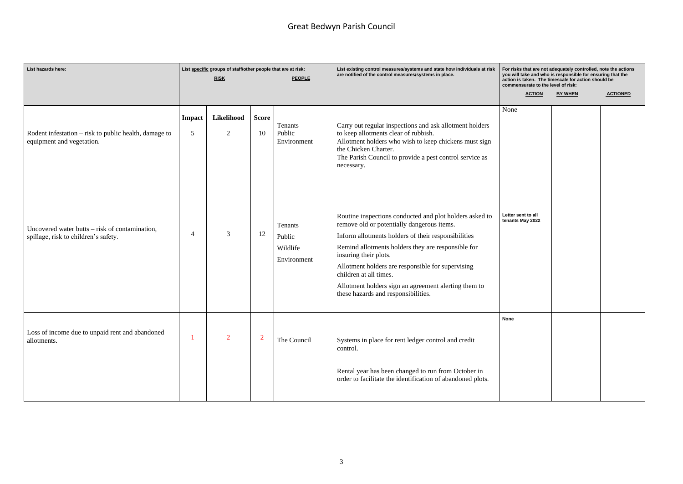## Great Bedwyn Parish Council

| List hazards here:                                                                       | List specific groups of staff/other people that are at risk:<br><b>RISK</b><br><b>PEOPLE</b> |                              |                    |                                                     | List existing control measures/systems and state how individuals at risk<br>are notified of the control measures/systems in place.                                                                                                                                                                                                                                                                                        | For risks that are not adequately controlled, note the actions<br>you will take and who is responsible for ensuring that the<br>action is taken. The timescale for action should be<br>commensurate to the level of risk: |                |                 |
|------------------------------------------------------------------------------------------|----------------------------------------------------------------------------------------------|------------------------------|--------------------|-----------------------------------------------------|---------------------------------------------------------------------------------------------------------------------------------------------------------------------------------------------------------------------------------------------------------------------------------------------------------------------------------------------------------------------------------------------------------------------------|---------------------------------------------------------------------------------------------------------------------------------------------------------------------------------------------------------------------------|----------------|-----------------|
|                                                                                          |                                                                                              |                              |                    |                                                     |                                                                                                                                                                                                                                                                                                                                                                                                                           | <b>ACTION</b>                                                                                                                                                                                                             | <b>BY WHEN</b> | <b>ACTIONED</b> |
| Rodent infestation – risk to public health, damage to<br>equipment and vegetation.       | <b>Impact</b><br>5                                                                           | Likelihood<br>$\overline{2}$ | <b>Score</b><br>10 | Tenants<br>Public<br>Environment                    | Carry out regular inspections and ask allotment holders<br>to keep allotments clear of rubbish.<br>Allotment holders who wish to keep chickens must sign<br>the Chicken Charter.<br>The Parish Council to provide a pest control service as<br>necessary.                                                                                                                                                                 | None                                                                                                                                                                                                                      |                |                 |
| Uncovered water butts $-$ risk of contamination,<br>spillage, risk to children's safety. | $\overline{4}$                                                                               | 3                            | 12                 | <b>Tenants</b><br>Public<br>Wildlife<br>Environment | Routine inspections conducted and plot holders asked to<br>remove old or potentially dangerous items.<br>Inform allotments holders of their responsibilities<br>Remind allotments holders they are responsible for<br>insuring their plots.<br>Allotment holders are responsible for supervising<br>children at all times.<br>Allotment holders sign an agreement alerting them to<br>these hazards and responsibilities. | Letter sent to all<br>tenants May 2022                                                                                                                                                                                    |                |                 |
| Loss of income due to unpaid rent and abandoned<br>allotments.                           |                                                                                              | $\overline{2}$               | $\overline{2}$     | The Council                                         | Systems in place for rent ledger control and credit<br>control.<br>Rental year has been changed to run from October in<br>order to facilitate the identification of abandoned plots.                                                                                                                                                                                                                                      | None                                                                                                                                                                                                                      |                |                 |